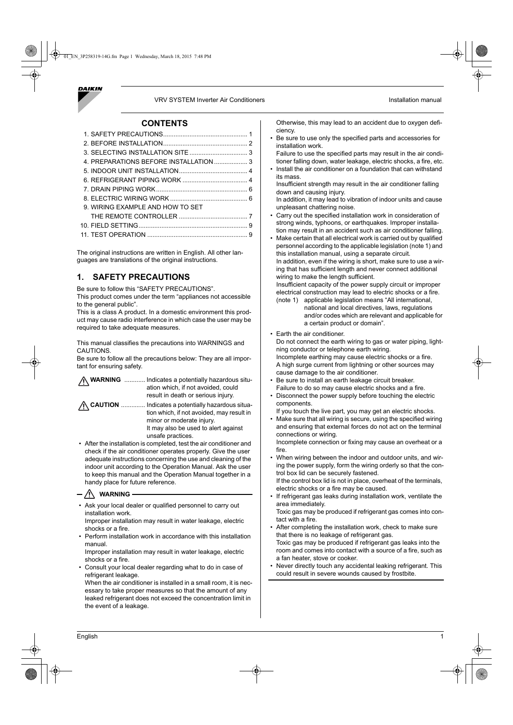

#### VRV SYSTEM Inverter Air Conditioners **Installation** manual

#### **CONTENTS**

| 9. WIRING EXAMPLE AND HOW TO SET |  |
|----------------------------------|--|
|                                  |  |
|                                  |  |
|                                  |  |

The original instructions are written in English. All other languages are translations of the original instructions.

# **1. SAFETY PRECAUTIONS**

Be sure to follow this "SAFETY PRECAUTIONS".

This product comes under the term "appliances not accessible to the general public".

This is a class A product. In a domestic environment this product may cause radio interference in which case the user may be required to take adequate measures.

This manual classifies the precautions into WARNINGS and CAUTIONS.

Be sure to follow all the precautions below: They are all important for ensuring safety.

| <b>WARNING</b> Indicates a potentially hazardous situ-<br>ation which, if not avoided, could<br>result in death or serious injury.   |
|--------------------------------------------------------------------------------------------------------------------------------------|
| / CAUTION  Indicates a potentially hazardous situa-<br>tion which, if not avoided, may result in<br>minor or moderate injury.        |
| It may also be used to alert against<br>unsafe practices.                                                                            |
| • After the installation is completed, test the air conditioner and<br>chook if the air conditioner eperates preparly. Cive the user |

check if the air conditioner operates properly. Give the use adequate instructions concerning the use and cleaning of the indoor unit according to the Operation Manual. Ask the user to keep this manual and the Operation Manual together in a handy place for future reference.

## $-\sqrt{N}$  WARNING

• Ask your local dealer or qualified personnel to carry out installation work.

Improper installation may result in water leakage, electric shocks or a fire.

• Perform installation work in accordance with this installation manual.

Improper installation may result in water leakage, electric shocks or a fire.

• Consult your local dealer regarding what to do in case of refrigerant leakage.

When the air conditioner is installed in a small room, it is necessary to take proper measures so that the amount of any leaked refrigerant does not exceed the concentration limit in the event of a leakage.

Otherwise, this may lead to an accident due to oxygen deficiency.

Be sure to use only the specified parts and accessories for installation work.

Failure to use the specified parts may result in the air conditioner falling down, water leakage, electric shocks, a fire, etc.

Install the air conditioner on a foundation that can withstand its mass.

Insufficient strength may result in the air conditioner falling down and causing injury.

In addition, it may lead to vibration of indoor units and cause unpleasant chattering noise.

- Carry out the specified installation work in consideration of strong winds, typhoons, or earthquakes. Improper installation may result in an accident such as air conditioner falling.
- Make certain that all electrical work is carried out by qualified personnel according to the applicable legislation (note 1) and this installation manual, using a separate circuit. In addition, even if the wiring is short, make sure to use a wir-

ing that has sufficient length and never connect additional wiring to make the length sufficient.

Insufficient capacity of the power supply circuit or improper electrical construction may lead to electric shocks or a fire. (note 1) applicable legislation means "All international,

- national and local directives, laws, regulations and/or codes which are relevant and applicable for a certain product or domain".
- Earth the air conditioner.

Do not connect the earth wiring to gas or water piping, lightning conductor or telephone earth wiring. Incomplete earthing may cause electric shocks or a fire.

A high surge current from lightning or other sources may cause damage to the air conditioner.

- Be sure to install an earth leakage circuit breaker. Failure to do so may cause electric shocks and a fire. • Disconnect the power supply before touching the electric
- components. If you touch the live part, you may get an electric shocks.
- Make sure that all wiring is secure, using the specified wiring and ensuring that external forces do not act on the terminal connections or wiring.

Incomplete connection or fixing may cause an overheat or a fire.

- When wiring between the indoor and outdoor units, and wiring the power supply, form the wiring orderly so that the control box lid can be securely fastened.
- If the control box lid is not in place, overheat of the terminals, electric shocks or a fire may be caused.
- If refrigerant gas leaks during installation work, ventilate the area immediately.

Toxic gas may be produced if refrigerant gas comes into contact with a fire.

- After completing the installation work, check to make sure that there is no leakage of refrigerant gas.
- Toxic gas may be produced if refrigerant gas leaks into the room and comes into contact with a source of a fire, such as a fan heater, stove or cooker.
- Never directly touch any accidental leaking refrigerant. This could result in severe wounds caused by frostbite.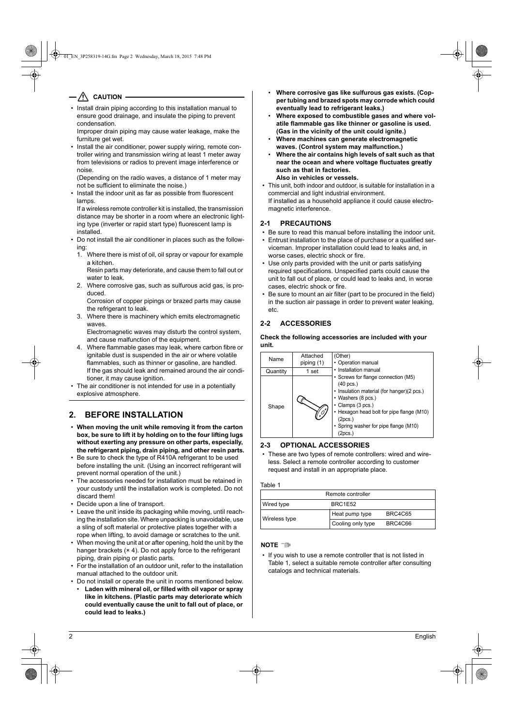# $-\sqrt{\!\!\!\!/\,}\,$  caution -

- Install drain piping according to this installation manual to ensure good drainage, and insulate the piping to prevent condensation.
- Improper drain piping may cause water leakage, make the furniture get wet.
- Install the air conditioner, power supply wiring, remote controller wiring and transmission wiring at least 1 meter away from televisions or radios to prevent image interference or noise.
- (Depending on the radio waves, a distance of 1 meter may not be sufficient to eliminate the noise.)
- Install the indoor unit as far as possible from fluorescent lamps.

If a wireless remote controller kit is installed, the transmission distance may be shorter in a room where an electronic lighting type (inverter or rapid start type) fluorescent lamp is installed.

- Do not install the air conditioner in places such as the following:
	- 1. Where there is mist of oil, oil spray or vapour for example a kitchen.
	- Resin parts may deteriorate, and cause them to fall out or water to leak.
	- 2. Where corrosive gas, such as sulfurous acid gas, is produced.
	- Corrosion of copper pipings or brazed parts may cause the refrigerant to leak.
	- 3. Where there is machinery which emits electromagnetic waves.
		- Electromagnetic waves may disturb the control system, and cause malfunction of the equipment.
	- 4. Where flammable gases may leak, where carbon fibre or ignitable dust is suspended in the air or where volatile flammables, such as thinner or gasoline, are handled. If the gas should leak and remained around the air conditioner, it may cause ignition.
- The air conditioner is not intended for use in a potentially explosive atmosphere.

# **2. BEFORE INSTALLATION**

- **When moving the unit while removing it from the carton box, be sure to lift it by holding on to the four lifting lugs without exerting any pressure on other parts, especially, the refrigerant piping, drain piping, and other resin parts.**
- Be sure to check the type of R410A refrigerant to be used before installing the unit. (Using an incorrect refrigerant will prevent normal operation of the unit.)
- The accessories needed for installation must be retained in your custody until the installation work is completed. Do not discard them!
- Decide upon a line of transport.
- Leave the unit inside its packaging while moving, until reaching the installation site. Where unpacking is unavoidable, use a sling of soft material or protective plates together with a rope when lifting, to avoid damage or scratches to the unit.
- When moving the unit at or after opening, hold the unit by the hanger brackets (× 4). Do not apply force to the refrigerant piping, drain piping or plastic parts.
- For the installation of an outdoor unit, refer to the installation manual attached to the outdoor unit.
- Do not install or operate the unit in rooms mentioned below.
- **Laden with mineral oil, or filled with oil vapor or spray like in kitchens. (Plastic parts may deteriorate which could eventually cause the unit to fall out of place, or could lead to leaks.)**
- **Where corrosive gas like sulfurous gas exists. (Copper tubing and brazed spots may corrode which could eventually lead to refrigerant leaks.)**
- **Where exposed to combustible gases and where volatile flammable gas like thinner or gasoline is used. (Gas in the vicinity of the unit could ignite.)**
- **Where machines can generate electromagnetic waves. (Control system may malfunction.)**
- **Where the air contains high levels of salt such as that near the ocean and where voltage fluctuates greatly such as that in factories. Also in vehicles or vessels.**
- This unit, both indoor and outdoor, is suitable for installation in a commercial and light industrial environment.

If installed as a household appliance it could cause electromagnetic interference.

# **2-1 PRECAUTIONS**

- Be sure to read this manual before installing the indoor unit.
- Entrust installation to the place of purchase or a qualified serviceman. Improper installation could lead to leaks and, in worse cases, electric shock or fire.
- Use only parts provided with the unit or parts satisfying required specifications. Unspecified parts could cause the unit to fall out of place, or could lead to leaks and, in worse cases, electric shock or fire.
- Be sure to mount an air filter (part to be procured in the field) in the suction air passage in order to prevent water leaking, etc.

# **2-2 ACCESSORIES**

**Check the following accessories are included with your unit.**



#### **2-3 OPTIONAL ACCESSORIES**

These are two types of remote controllers: wired and wireless. Select a remote controller according to customer request and install in an appropriate place.

#### Table 1

| Remote controller |                   |                |
|-------------------|-------------------|----------------|
| Wired type        | BRC1E52           |                |
| Wireless type     | Heat pump type    | <b>BRC4C65</b> |
|                   | Cooling only type | BRC4C66        |

# **NOTE**

• If you wish to use a remote controller that is not listed in Table 1, select a suitable remote controller after consulting catalogs and technical materials.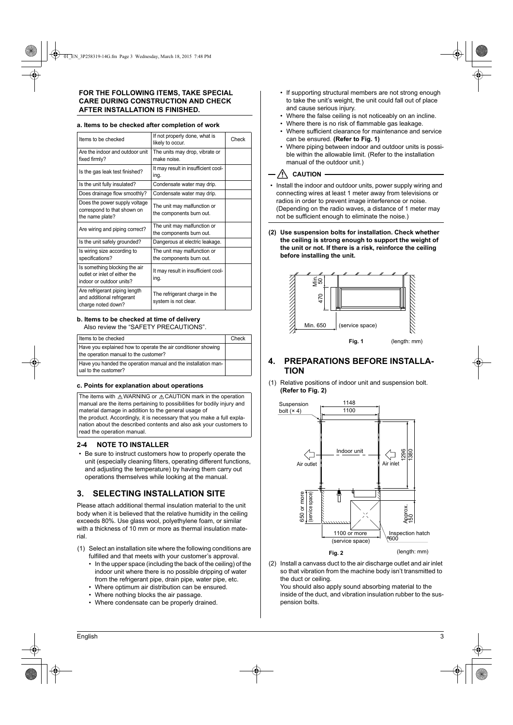# **FOR THE FOLLOWING ITEMS, TAKE SPECIAL CARE DURING CONSTRUCTION AND CHECK AFTER INSTALLATION IS FINISHED.**

#### **a. Items to be checked after completion of work**

| Items to be checked                                                                        | If not properly done, what is<br>likely to occur.       | Check |
|--------------------------------------------------------------------------------------------|---------------------------------------------------------|-------|
| Are the indoor and outdoor unit<br>fixed firmly?                                           | The units may drop, vibrate or<br>make noise            |       |
| Is the gas leak test finished?                                                             | It may result in insufficient cool-<br>ing.             |       |
| Is the unit fully insulated?                                                               | Condensate water may drip.                              |       |
| Does drainage flow smoothly?                                                               | Condensate water may drip.                              |       |
| Does the power supply voltage<br>correspond to that shown on<br>the name plate?            | The unit may malfunction or<br>the components burn out. |       |
| Are wiring and piping correct?                                                             | The unit may malfunction or<br>the components burn out. |       |
| Is the unit safely grounded?                                                               | Dangerous at electric leakage.                          |       |
| Is wiring size according to<br>specifications?                                             | The unit may malfunction or<br>the components burn out. |       |
| Is something blocking the air<br>outlet or inlet of either the<br>indoor or outdoor units? | It may result in insufficient cool-<br>ing.             |       |
| Are refrigerant piping length<br>and additional refrigerant<br>charge noted down?          | The refrigerant charge in the<br>system is not clear.   |       |

#### **b. Items to be checked at time of delivery** Also review the "SAFETY PRECAUTIONS".

| Items to be checked                                                                                    | Check |
|--------------------------------------------------------------------------------------------------------|-------|
| Have you explained how to operate the air conditioner showing<br>the operation manual to the customer? |       |
| Have you handed the operation manual and the installation man-<br>ual to the customer?                 |       |

#### **c. Points for explanation about operations**

The items with  $\triangle$  WARNING or  $\triangle$  CAUTION mark in the operation manual are the items pertaining to possibilities for bodily injury and material damage in addition to the general usage of the product. Accordingly, it is necessary that you make a full explanation about the described contents and also ask your customers to

### **2-4 NOTE TO INSTALLER**

read the operation manual.

• Be sure to instruct customers how to properly operate the unit (especially cleaning filters, operating different functions, and adjusting the temperature) by having them carry out operations themselves while looking at the manual.

### **3. SELECTING INSTALLATION SITE**

Please attach additional thermal insulation material to the unit body when it is believed that the relative humidity in the ceiling exceeds 80%. Use glass wool, polyethylene foam, or similar with a thickness of 10 mm or more as thermal insulation material.

- (1) Select an installation site where the following conditions are fulfilled and that meets with your customer's approval.
	- In the upper space (including the back of the ceiling) of the indoor unit where there is no possible dripping of water from the refrigerant pipe, drain pipe, water pipe, etc.
	- Where optimum air distribution can be ensured.
	- Where nothing blocks the air passage.
	- Where condensate can be properly drained.
- If supporting structural members are not strong enough to take the unit's weight, the unit could fall out of place and cause serious injury.
- Where the false ceiling is not noticeably on an incline.
- Where there is no risk of flammable gas leakage.
- Where sufficient clearance for maintenance and service can be ensured. **(Refer to Fig. 1)**
- Where piping between indoor and outdoor units is possible within the allowable limit. (Refer to the installation manual of the outdoor unit.)

# $-\sqrt{N}$  caution -

- Install the indoor and outdoor units, power supply wiring and connecting wires at least 1 meter away from televisions or radios in order to prevent image interference or noise. (Depending on the radio waves, a distance of 1 meter may not be sufficient enough to eliminate the noise.)
- **(2) Use suspension bolts for installation. Check whether the ceiling is strong enough to support the weight of the unit or not. If there is a risk, reinforce the ceiling before installing the unit.**



# **4. PREPARATIONS BEFORE INSTALLA-TION**

(1) Relative positions of indoor unit and suspension bolt. **(Refer to Fig. 2)**



(2) Install a canvass duct to the air discharge outlet and air inlet so that vibration from the machine body isn't transmitted to the duct or ceiling.

You should also apply sound absorbing material to the inside of the duct, and vibration insulation rubber to the suspension bolts.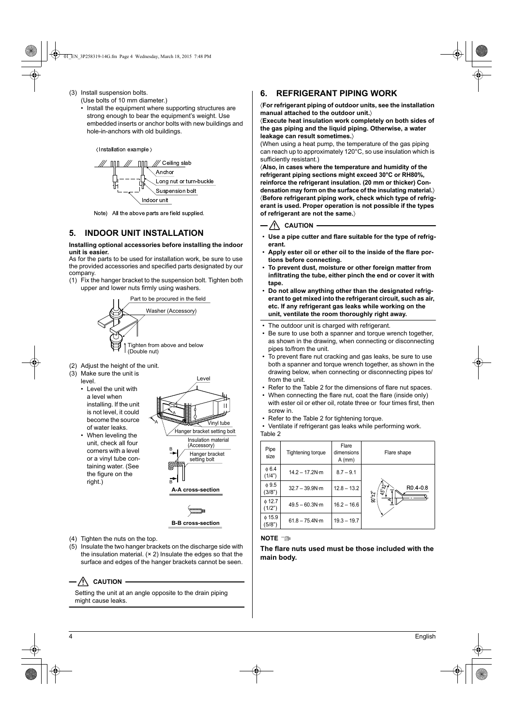- (3) Install suspension bolts.
	- (Use bolts of 10 mm diameter.) • Install the equipment where supporting structures are strong enough to bear the equipment's weight. Use embedded inserts or anchor bolts with new buildings and hole-in-anchors with old buildings.

Installation example



Note) All the above parts are field supplied.

# **5. INDOOR UNIT INSTALLATION**

#### **Installing optional accessories before installing the indoor unit is easier.**

As for the parts to be used for installation work, be sure to use the provided accessories and specified parts designated by our company.

(1) Fix the hanger bracket to the suspension bolt. Tighten both upper and lower nuts firmly using washers.



- (Double nut)
- (2) Adjust the height of the unit.
- (3) Make sure the unit is
	- level. • Level the unit with a level when installing. If the unit is not level, it could become the source of water leaks.



• When leveling the unit, check all four corners with a level or a vinyl tube containing water. (See the figure on the right.)



**B-B cross-section**

- (4) Tighten the nuts on the top.
- (5) Insulate the two hanger brackets on the discharge side with the insulation material. (× 2) Insulate the edges so that the surface and edges of the hanger brackets cannot be seen.

# $-\sqrt{!}\setminus$  CAUTION -

Setting the unit at an angle opposite to the drain piping might cause leaks.

# **6. REFRIGERANT PIPING WORK**

〈**For refrigerant piping of outdoor units, see the installation manual attached to the outdoor unit.**〉

〈**Execute heat insulation work completely on both sides of the gas piping and the liquid piping. Otherwise, a water leakage can result sometimes.**〉

(When using a heat pump, the temperature of the gas piping can reach up to approximately 120°C, so use insulation which is sufficiently resistant.)

〈**Also, in cases where the temperature and humidity of the refrigerant piping sections might exceed 30°C or RH80%, reinforce the refrigerant insulation. (20 mm or thicker) Condensation may form on the surface of the insulating material.**〉 〈**Before refrigerant piping work, check which type of refrigerant is used. Proper operation is not possible if the types of refrigerant are not the same.**〉

# $-\sqrt{N}$  caution

- **Use a pipe cutter and flare suitable for the type of refrigerant.**
- **Apply ester oil or ether oil to the inside of the flare portions before connecting.**
- **To prevent dust, moisture or other foreign matter from infiltrating the tube, either pinch the end or cover it with tape.**
- **Do not allow anything other than the designated refrigerant to get mixed into the refrigerant circuit, such as air, etc. If any refrigerant gas leaks while working on the unit, ventilate the room thoroughly right away.**
- The outdoor unit is charged with refrigerant.
- Be sure to use both a spanner and torque wrench together, as shown in the drawing, when connecting or disconnecting pipes to/from the unit.
- To prevent flare nut cracking and gas leaks, be sure to use both a spanner and torque wrench together, as shown in the drawing below, when connecting or disconnecting pipes to/ from the unit.
- Refer to the Table 2 for the dimensions of flare nut spaces. • When connecting the flare nut, coat the flare (inside only)
- with ester oil or ether oil, rotate three or four times first, then screw in.
- Refer to the Table 2 for tightening torque.
- Ventilate if refrigerant gas leaks while performing work.

Table 2

| Pipe<br>size          | Tightening torque      | Flare<br>dimensions<br>$A$ (mm) | Flare shape                                                                          |
|-----------------------|------------------------|---------------------------------|--------------------------------------------------------------------------------------|
| $\phi$ 6.4<br>(1/4")  | $14.2 - 17.2N·m$       | $8.7 - 9.1$                     |                                                                                      |
| $\phi$ 9.5<br>(3/8")  | $32.7 - 39.9N·m$       | $12.8 - 13.2$                   | $45^{\circ}$ $2^{\circ}$<br>R <sub>0.4</sub> -0.8<br>$\delta\mathcal{F}_{\tau_0}$ 06 |
| $\phi$ 12.7<br>(1/2") | $49.5 - 60.3N \cdot m$ | $16.2 - 16.6$                   |                                                                                      |
| 0.15.9<br>(5/8")      | $61.8 - 75.4 N·m$      | $19.3 - 19.7$                   |                                                                                      |

#### **NOTE**

**The flare nuts used must be those included with the main body.**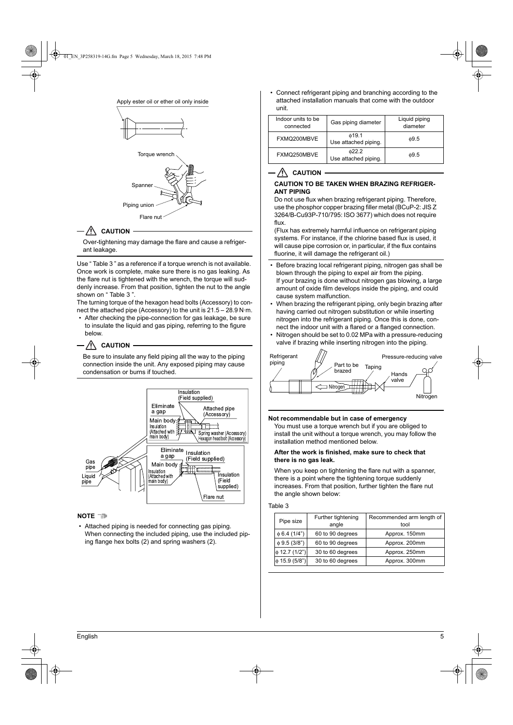

### $-\sqrt{N}$  Caution -

Over-tightening may damage the flare and cause a refrigerant leakage.

Use " Table 3 " as a reference if a torque wrench is not available. Once work is complete, make sure there is no gas leaking. As the flare nut is tightened with the wrench, the torque will suddenly increase. From that position, tighten the nut to the angle shown on "Table 3"

The turning torque of the hexagon head bolts (Accessory) to connect the attached pipe (Accessory) to the unit is 21.5 – 28.9 N·m.

After checking the pipe-connection for gas leakage, be sure to insulate the liquid and gas piping, referring to the figure below.

### $-\sqrt{N}$  caution  $\overline{N}$

Be sure to insulate any field piping all the way to the piping connection inside the unit. Any exposed piping may cause condensation or burns if touched.



#### **NOTE**

Attached piping is needed for connecting gas piping. When connecting the included piping, use the included piping flange hex bolts (2) and spring washers (2).

• Connect refrigerant piping and branching according to the attached installation manuals that come with the outdoor unit.

| Indoor units to be<br>connected | Gas piping diameter                 | Liquid piping<br>diameter |
|---------------------------------|-------------------------------------|---------------------------|
| FXMQ200MBVE                     | $\phi$ 19.1<br>Use attached piping. | 0.5                       |
| FXMQ250MBVE                     | 022.2<br>Use attached piping.       | 0.5                       |

#### $\sqrt{N}$  CAUTION

### **CAUTION TO BE TAKEN WHEN BRAZING REFRIGER-ANT PIPING**

Do not use flux when brazing refrigerant piping. Therefore, use the phosphor copper brazing filler metal (BCuP-2: JIS Z 3264/B-Cu93P-710/795: ISO 3677) which does not require flux.

(Flux has extremely harmful influence on refrigerant piping systems. For instance, if the chlorine based flux is used, it will cause pipe corrosion or, in particular, if the flux contains fluorine, it will damage the refrigerant oil.)

- Before brazing local refrigerant piping, nitrogen gas shall be blown through the piping to expel air from the piping. If your brazing is done without nitrogen gas blowing, a large amount of oxide film develops inside the piping, and could cause system malfunction.
- When brazing the refrigerant piping, only begin brazing after having carried out nitrogen substitution or while inserting nitrogen into the refrigerant piping. Once this is done, connect the indoor unit with a flared or a flanged connection.
- Nitrogen should be set to 0.02 MPa with a pressure-reducing valve if brazing while inserting nitrogen into the piping.



### **Not recommendable but in case of emergency**

You must use a torque wrench but if you are obliged to install the unit without a torque wrench, you may follow the installation method mentioned below.

## **After the work is finished, make sure to check that there is no gas leak.**

When you keep on tightening the flare nut with a spanner, there is a point where the tightening torque suddenly increases. From that position, further tighten the flare nut the angle shown below:

### Table 3

| Pipe size          | Further tightening<br>angle | Recommended arm length of<br>tool |
|--------------------|-----------------------------|-----------------------------------|
| $\phi$ 6.4 (1/4")  | 60 to 90 degrees            | Approx. 150mm                     |
| $\phi$ 9.5 (3/8")  | 60 to 90 degrees            | Approx. 200mm                     |
| $\phi$ 12.7 (1/2") | 30 to 60 degrees            | Approx. 250mm                     |
| $\phi$ 15.9 (5/8") | 30 to 60 degrees            | Approx. 300mm                     |
|                    |                             |                                   |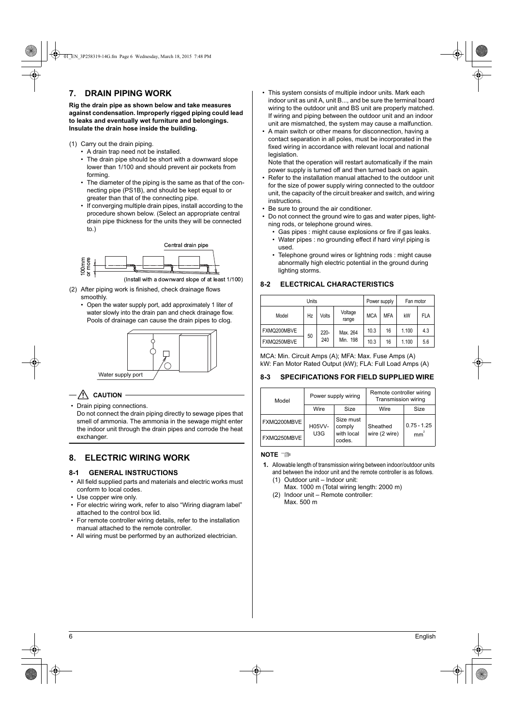# **7. DRAIN PIPING WORK**

**Rig the drain pipe as shown below and take measures against condensation. Improperly rigged piping could lead to leaks and eventually wet furniture and belongings. Insulate the drain hose inside the building.**

- (1) Carry out the drain piping.
	- A drain trap need not be installed.
	- The drain pipe should be short with a downward slope lower than 1/100 and should prevent air pockets from forming.
	- The diameter of the piping is the same as that of the connecting pipe (PS1B), and should be kept equal to or greater than that of the connecting pipe.
	- If converging multiple drain pipes, install according to the procedure shown below. (Select an appropriate central drain pipe thickness for the units they will be connected to.)



(Install with a downward slope of at least 1/100)

- (2) After piping work is finished, check drainage flows smoothly.
	- Open the water supply port, add approximately 1 liter of water slowly into the drain pan and check drainage flow. Pools of drainage can cause the drain pipes to clog.



- **CAUTION**
- Drain piping connections.

Do not connect the drain piping directly to sewage pipes that smell of ammonia. The ammonia in the sewage might enter the indoor unit through the drain pipes and corrode the heat exchanger.

# **8. ELECTRIC WIRING WORK**

### **8-1 GENERAL INSTRUCTIONS**

- All field supplied parts and materials and electric works must conform to local codes.
- Use copper wire only.
- For electric wiring work, refer to also "Wiring diagram label" attached to the control box lid.
- For remote controller wiring details, refer to the installation manual attached to the remote controller.
- All wiring must be performed by an authorized electrician.
- This system consists of multiple indoor units. Mark each indoor unit as unit A, unit B..., and be sure the terminal board wiring to the outdoor unit and BS unit are properly matched. If wiring and piping between the outdoor unit and an indoor unit are mismatched, the system may cause a malfunction.
- A main switch or other means for disconnection, having a contact separation in all poles, must be incorporated in the fixed wiring in accordance with relevant local and national legislation.

Note that the operation will restart automatically if the main power supply is turned off and then turned back on again.

- Refer to the installation manual attached to the outdoor unit for the size of power supply wiring connected to the outdoor unit, the capacity of the circuit breaker and switch, and wiring instructions.
- Be sure to ground the air conditioner.
- Do not connect the ground wire to gas and water pipes, lightning rods, or telephone ground wires.
	- Gas pipes : might cause explosions or fire if gas leaks. • Water pipes : no grounding effect if hard vinyl piping is used.
	- Telephone ground wires or lightning rods : might cause abnormally high electric potential in the ground during lighting storms.

# **8-2 ELECTRICAL CHARACTERISTICS**

| Units       |    |       | Power supply     |            | Fan motor  |       |            |      |    |       |     |
|-------------|----|-------|------------------|------------|------------|-------|------------|------|----|-------|-----|
| Model       | Hz | Volts | Voltage<br>range | <b>MCA</b> | <b>MFA</b> | kW    | <b>FLA</b> |      |    |       |     |
| FXMQ200MBVE |    | 220-  | Max. 264         | 10.3       | 16         | 1.100 | 4.3        |      |    |       |     |
| FXMQ250MBVE | 50 | 240   |                  |            |            |       | Min. 198   | 10.3 | 16 | 1.100 | 5.6 |

MCA: Min. Circuit Amps (A); MFA: Max. Fuse Amps (A) kW: Fan Motor Rated Output (kW); FLA: Full Load Amps (A)

# **8-3 SPECIFICATIONS FOR FIELD SUPPLIED WIRE**

| Model       | Power supply wiring |                      | Remote controller wiring<br>Transmission wiring |               |
|-------------|---------------------|----------------------|-------------------------------------------------|---------------|
|             | Wire                | Size                 | Wire                                            | Size          |
| FXMQ200MBVE | H05VV-              | Size must<br>comply  | Sheathed                                        | $0.75 - 1.25$ |
| FXMQ250MBVE | U3G                 | with local<br>codes. | wire (2 wire)                                   | mm            |

**NOTE**

- **1.** Allowable length of transmission wiring between indoor/outdoor units and between the indoor unit and the remote controller is as follows.
	- (1) Outdoor unit Indoor unit: Max. 1000 m (Total wiring length: 2000 m)
	- (2) Indoor unit Remote controller: Max. 500 m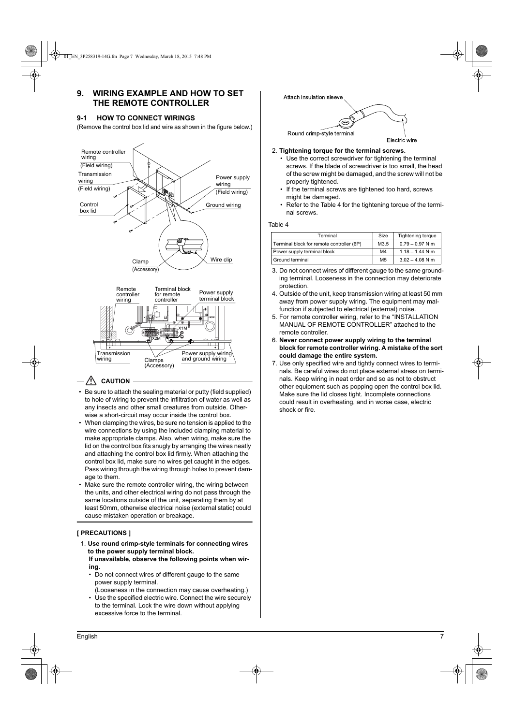# **9. WIRING EXAMPLE AND HOW TO SET THE REMOTE CONTROLLER**

### **9-1 HOW TO CONNECT WIRINGS**

(Remove the control box lid and wire as shown in the figure below.)





# $-\sqrt{N}$  CAUTION

- Be sure to attach the sealing material or putty (field supplied) to hole of wiring to prevent the infiltration of water as well as any insects and other small creatures from outside. Otherwise a short-circuit may occur inside the control box.
- When clamping the wires, be sure no tension is applied to the wire connections by using the included clamping material to make appropriate clamps. Also, when wiring, make sure the lid on the control box fits snugly by arranging the wires neatly and attaching the control box lid firmly. When attaching the control box lid, make sure no wires get caught in the edges. Pass wiring through the wiring through holes to prevent damage to them.
- Make sure the remote controller wiring, the wiring between the units, and other electrical wiring do not pass through the same locations outside of the unit, separating them by at least 50mm, otherwise electrical noise (external static) could cause mistaken operation or breakage.

# **[ PRECAUTIONS ]**

- 1. **Use round crimp-style terminals for connecting wires to the power supply terminal block.**
- **If unavailable, observe the following points when wiring.**
- Do not connect wires of different gauge to the same power supply terminal.

excessive force to the terminal.

(Looseness in the connection may cause overheating.) • Use the specified electric wire. Connect the wire securely to the terminal. Lock the wire down without applying



- 2. **Tightening torque for the terminal screws.**
	- Use the correct screwdriver for tightening the terminal screws. If the blade of screwdriver is too small, the head of the screw might be damaged, and the screw will not be properly tightened.
	- If the terminal screws are tightened too hard, screws might be damaged.
	- Refer to the Table 4 for the tightening torque of the terminal screws.

### Table 4

| Terminal |                                           | Size           | Tightening torque         |
|----------|-------------------------------------------|----------------|---------------------------|
|          | Terminal block for remote controller (6P) | M3.5           | $0.79 - 0.97$ N $\cdot$ m |
|          | Power supply terminal block               | M4             | $1.18 - 1.44$ N·m         |
|          | Ground terminal                           | M <sub>5</sub> | $3.02 - 4.08$ N $\cdot$ m |

- 3. Do not connect wires of different gauge to the same grounding terminal. Looseness in the connection may deteriorate protection.
- 4. Outside of the unit, keep transmission wiring at least 50 mm away from power supply wiring. The equipment may malfunction if subjected to electrical (external) noise.
- 5. For remote controller wiring, refer to the "INSTALLATION MANUAL OF REMOTE CONTROLLER" attached to the remote controller.
- 6. **Never connect power supply wiring to the terminal block for remote controller wiring. A mistake of the sort could damage the entire system.**
- 7. Use only specified wire and tightly connect wires to terminals. Be careful wires do not place external stress on terminals. Keep wiring in neat order and so as not to obstruct other equipment such as popping open the control box lid. Make sure the lid closes tight. Incomplete connections could result in overheating, and in worse case, electric shock or fire.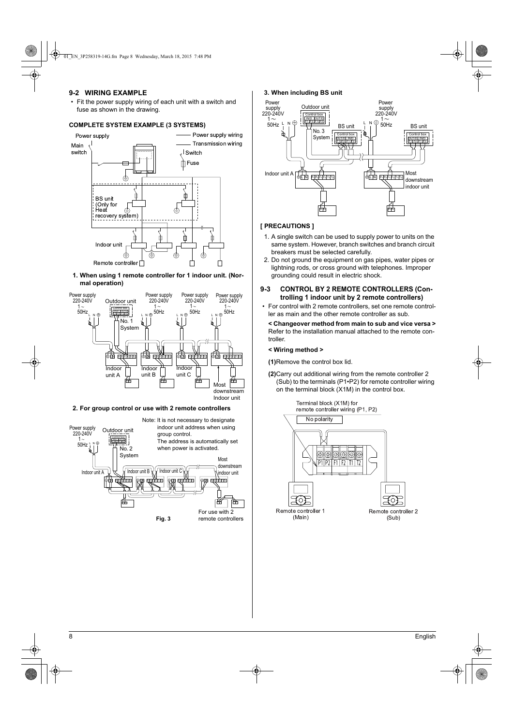## **9-2 WIRING EXAMPLE**

• Fit the power supply wiring of each unit with a switch and fuse as shown in the drawing.

## **COMPLETE SYSTEM EXAMPLE (3 SYSTEMS)**



**1. When using 1 remote controller for 1 indoor unit. (Normal operation)**



### **2. For group control or use with 2 remote controllers**



### **3. When including BS unit**



### **[ PRECAUTIONS ]**

- 1. A single switch can be used to supply power to units on the same system. However, branch switches and branch circuit breakers must be selected carefully.
- 2. Do not ground the equipment on gas pipes, water pipes or lightning rods, or cross ground with telephones. Improper grounding could result in electric shock.

# **9-3 CONTROL BY 2 REMOTE CONTROLLERS (Controlling 1 indoor unit by 2 remote controllers)**

• For control with 2 remote controllers, set one remote controller as main and the other remote controller as sub.

**< Changeover method from main to sub and vice versa >** Refer to the installation manual attached to the remote controller.

#### **< Wiring method >**

**(1)**Remove the control box lid.

**(2)**Carry out additional wiring from the remote controller 2 (Sub) to the terminals (P1•P2) for remote controller wiring on the terminal block (X1M) in the control box.